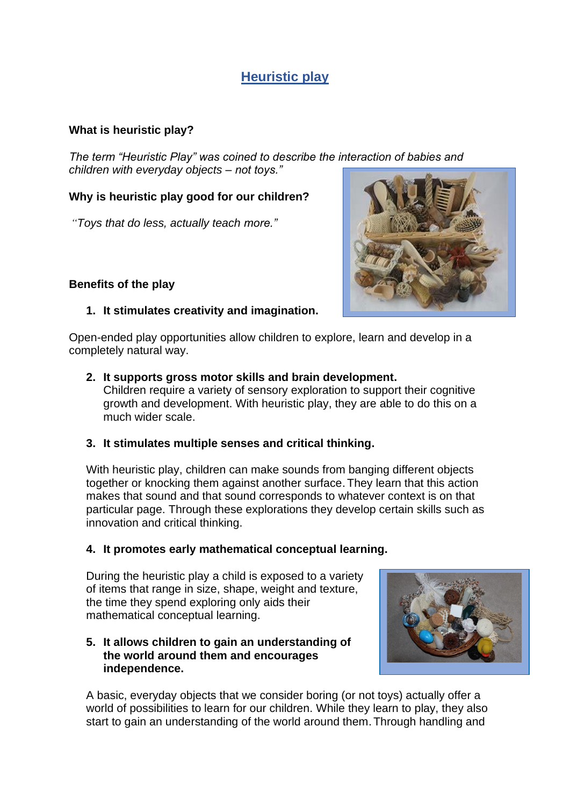# **Heuristic play**

## **What is heuristic play?**

*The term "Heuristic Play" was coined to describe the interaction of babies and children with everyday objects – not toys."*

# **Why is heuristic play good for our children?**

*"Toys that do less, actually teach more."*

#### **Benefits of the play**



## **1. It stimulates creativity and imagination.**

Open-ended play opportunities allow children to explore, learn and develop in a completely natural way.

#### **2. It supports gross motor skills and brain development.**

Children require a variety of sensory exploration to support their cognitive growth and development. With heuristic play, they are able to do this on a much wider scale.

## **3. It stimulates multiple senses and critical thinking.**

With heuristic play, children can make sounds from banging different objects together or knocking them against another surface.They learn that this action makes that sound and that sound corresponds to whatever context is on that particular page. Through these explorations they develop certain skills such as innovation and critical thinking.

## **4. It promotes early mathematical conceptual learning.**

During the heuristic play a child is exposed to a variety of items that range in size, shape, weight and texture, the time they spend exploring only aids their mathematical conceptual learning.

#### **5. It allows children to gain an understanding of the world around them and encourages independence.**



A basic, everyday objects that we consider boring (or not toys) actually offer a world of possibilities to learn for our children. While they learn to play, they also start to gain an understanding of the world around them.Through handling and